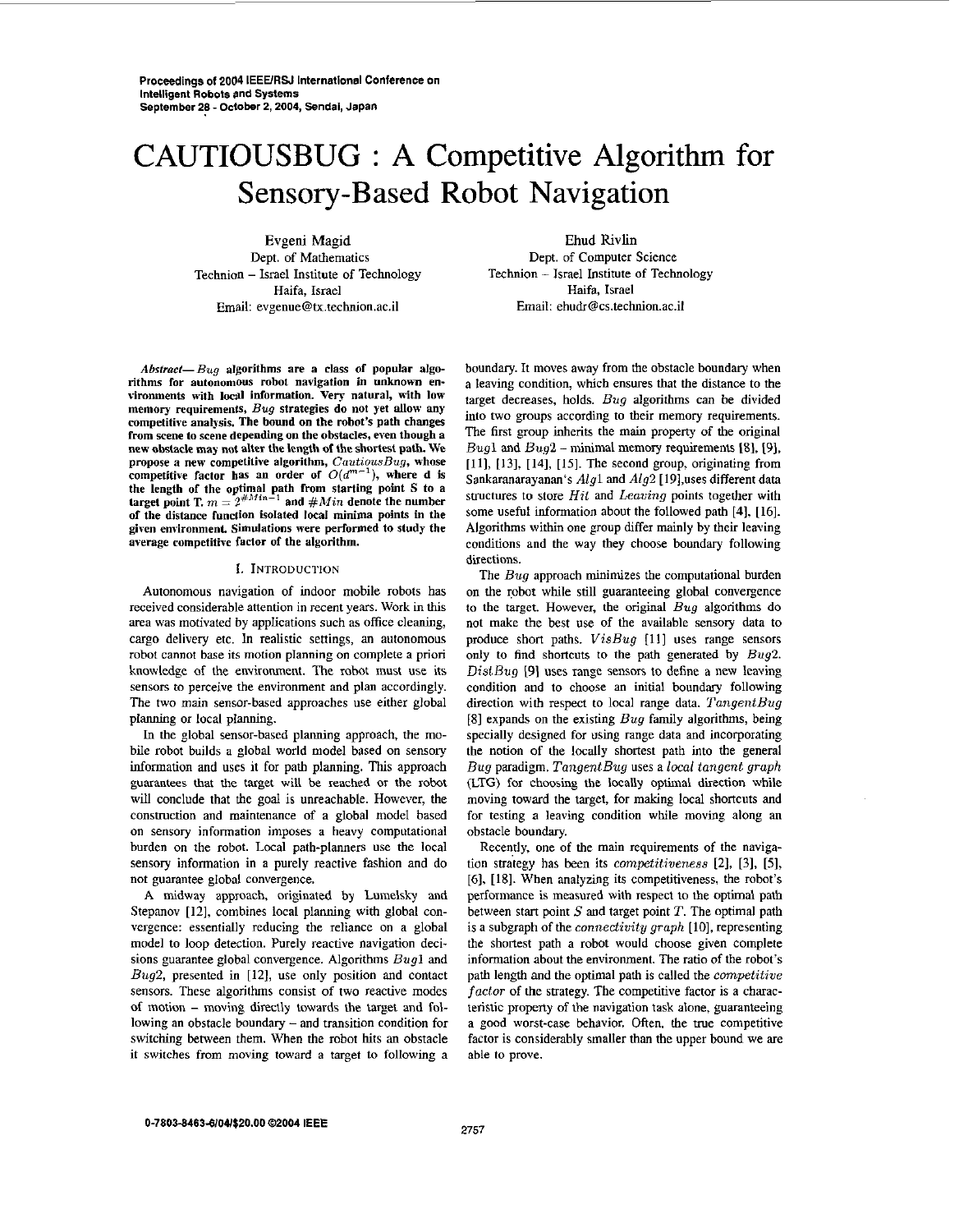# CAUTIOUSBUG : A Competitive Algorithm for Sensory-Based Robot Navigation

Evgeni Magid Dept. of Mathematics Technion - Israel Institute of Technology Haifa, Israel Email: evgenue@tx.technion.ac.il

Ehud Rivlin Dept. of Computer Science Technion - Israel Institute of Technology Haifa, Israel Email: ehudr@cs.technion.ac.il

*Abstract-Bug* algorithms are **a class** of popular algorithms for autonomous robot navigation **in** unknown environments with **local** information. **Very** natural, with low memory requirements, *Bug* strategies do not yet allow any competitive analysis. The bound **on** the robot's path changes from **xene** to scene depending **an** the obstades, **even** though a new obstacle may not alter the length *of* the shortest path. **\Ye**  propose *a* new competilive algorithm, *CoutiousBug,* whose competitive factor has an order of  $O(d^{m-1})$ , where d is the length of the optimal path from starting point S to a target point T.  $m = 2^{\#Min-1}$  and  $\#Min$  denote the number of the distance funclion isolated local minima points in the given enviranment. Simulations were performed to study **the**  average competitive factor of the algorithm.

# **I.** INTRODUCTION

Autonomous navigation of indoor mobile robots has received considerable attention in recent years. Work in this area was motivated by applications such as office cleaning, cargo delivery etc. In realistic settings, an autonomous robot cannot base its motion planning on complete a priori knowledge of the environment. The robot must use its sensors to perceive the environment and plan accordingly. The two main sensor-based approaches use either global planning or local planning.

In the global sensor-based planning approach, the mobile robot builds a global world model based on sensory information and uses it for path planning. This approach guarantees that the target will be reached or the robot will conclude that the goal is unreachable. However, the construction and maintenance of a global model based on sensory information imposes a heavy computational burden on the robot. Local path-planners use the local sensory information in a purely reactive fashion and do not guarantee global convergence.

A midway approach, originated by Lumelsky and Stepanov [12], combines local planning with global convergence: essentially reducing the reliance on a global model to loop detection. Purely reactive navigation decisions guarantee global convergence. Algorithms *Bugl* and *82192,* presented in [12], use only position and contact sensors. These algorithms consist of two reactive modes of motion - moving directly towards the target and fnllowing an obstacle boundary  $-$  and transition condition for switching between them. When the robot hits an obstacle it switches from moving toward a target to following a boundary. It moves away from the obstacle boundary when a leaving condition, which ensures that the distance to the iarget decreases, holds. *Bug* algorithms can be divided into two groups according to their memory requirements. The first group inherits the main property of the original Bug1 and  $Bug2$  – minimal memory requirements [8], [9], [ll], [13], **1141,** [15]. The second group, originating from Sankaranarayanan's *Algl* and *Alg2* **[19],uses** different data structures to store *Hit* and *Leuving* points together with some useful information about the followed path **[4],** [16]. Algorithms within one group differ mainly by their leaving conditions and the way they choose boundary following directions.

The *Bug* approach minimizes the computational burden on the robot while still guaranteeing global convergence to the target. However, the original *Bug* algorithms do not make the best use of the available sensory data to produce short paths. *VisBug* Ill] uses range sensors only to find shoncuts to the path generated by *Bug2. DistBug* [9] uses range sensors to define a new leaving condition and to choose an initial boundary following direction with respect to local range data. *TangentBug* [8] expands on the existing *Bug* family algorithms, being specially designed for using range data and incorporating the notion of the locally shortest path into the general *Bug* paradigm. *Tangen,tBug* uses a *local tangent graph*  (ETG) for choosing the locally optimal direction while moving toward the target, for making local shortcuts and for testing a leaving condition while moving along an obstacle boundary.

Recently, one of the main requirements of the navigation strategy has been its *competitiveness* [2], [3], [5], *[6],* 1181. Wen analyzing its competitiveness, the robot's performance is measured with respect to the optimal path between start point  $S$  and target point  $T$ . The optimal path is a subgraph of the *connectivity graph* [IO], representing the shortest path a robot would choose given complete information about the environment. The ratio of the robot's path length and the optimal path is called the *competitive*  factor of the strategy. The competitive factor is a characteristic property of the navigation task alone, guaranteeing a good worst-case behavior. Often, the true competitive factor is considerably smaller than the upper bound we are able to prove.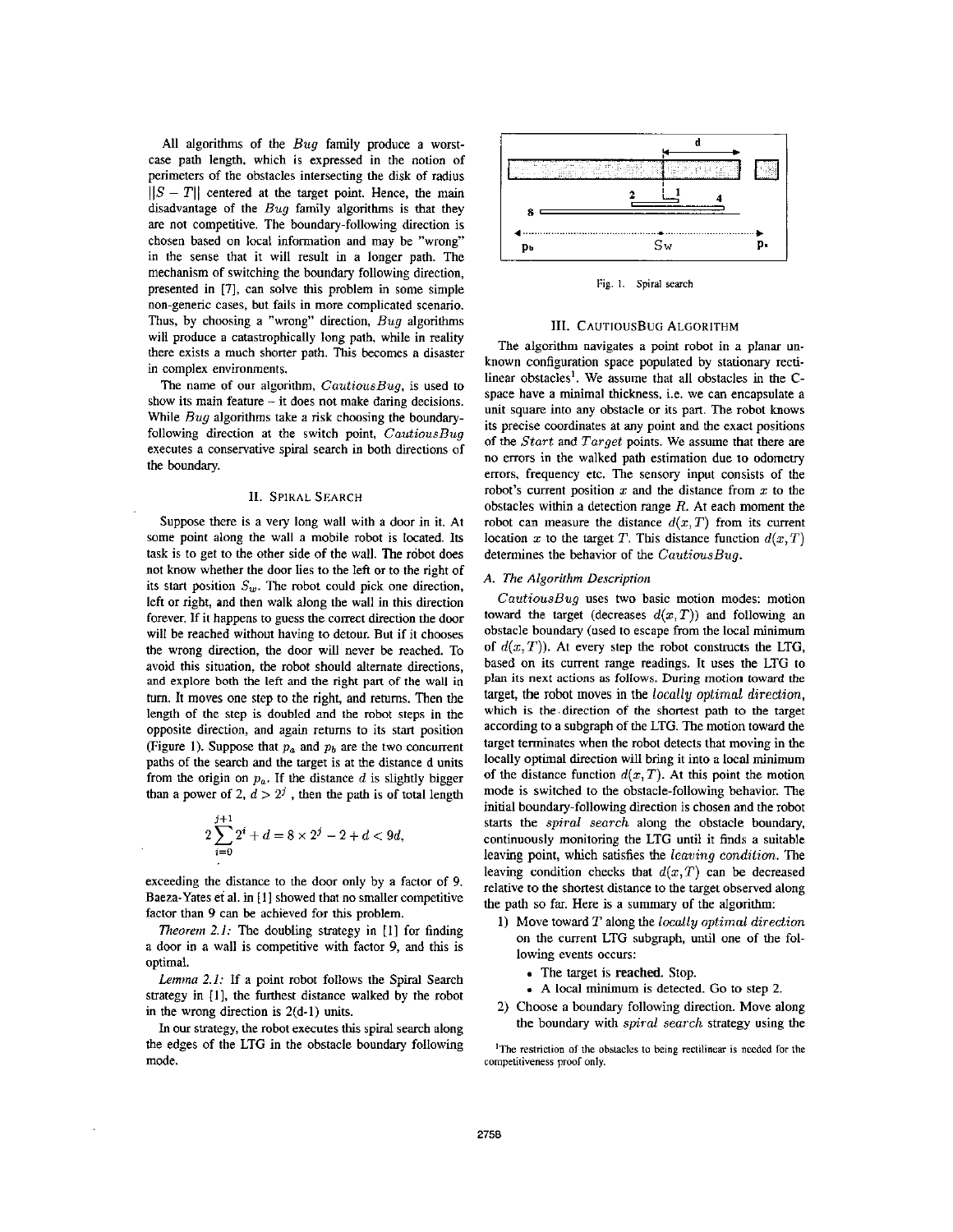All algorithms of the *Bug* family produce a worstcase path length, which is expressed in the notion of perimeters of the obstacles intersecting the disk of radius  $||S - T||$  centered at the target point. Hence, the main disadvantage of the *Bug* family algorithms is that they are not competitive. The boundary-following direction is chosen based on local information and may be "wrong" in the sense that it will result in a longer path. The mechanism of switching the boundary following direction, presented in **(71,** can solve this problem in some simple non-generic cases, hut fails in more complicated scenario. Thus, by choosing a "wrong" direction, *Bug* algorithms will produce a catastrophically long path, while in reality there exists a much shorter path. This becomes a disaster in complex environments.

The name of our algorithm,  $CautiousBuq$ , is used to show its main feature - it does not make daring decisions. While *Rug* algorithms take a risk choosing the boundaryfollowing direction at the switch point, *CautiousBug*  executes a conservative spiral search in both directions of the boundary.

## 11. SPIRAL SEARCH

Suppose there is a very long wall with a door in it. At some point along the wall a mobile robot is located. Its task is to get to the other side of the wall. The robot does not know whether the door lies to the left or to the right of its start position  $S_w$ . The robot could pick one direction, left or right, and then walk along the wall in this direction forever. If it happens to guess the correct direction the door will be reached without having to detour. But if it chooses the wrong direction, the door will never be reached. To avoid this situation, the robot should altemate directions, and explore both the left and the right **pat** of the wall in tum. It moves one step to the right, and retums. 'Then the length of the step is doubled and the robot steps in the opposite direction, and again returns to its start position (Figure 1). Suppose that  $p_a$  and  $p_b$  are the two concurrent paths of the search and the target is at the distance d units from the origin on  $p_a$ . If the distance  $d$  is slightly bigger than a power of 2,  $d > 2<sup>j</sup>$ , then the path is of total length

$$
2\sum_{i=0}^{j+1} 2^i + d = 8 \times 2^j - 2 + d < 9d,
$$

 $\ddotsc$ 

exceeding the distance to the door only by a factor of 9. Baeza-Yates et al. in [I] showed that no smaller competitive factor than 9 can **be** achieved for this problem.

*Theorem 2.1:* The doubling strategy in [1] for finding a door in a wall is competitive with factor 9, and this is optimal.

*Lemma* 2.1: If a point robot follows the Spiral Search strategy in [I], the furthest distance walked by the robot in the wrong direction is 2(d-1) units.

In our strategy, the robot executes this spiral search along the edges of the LTG in the obstacle boundary following mode.



Fig. I. Spiral search

# **111.** CAUTIOUSBUG ALGORITHM

The algorithm navigates a point robot in a planar unknown configuration space populated by stationary recti-Linear obstacles'. We assume that all obstacles in the **C**space have a minimal thickness, i.e. we can encapsulate a unit square into any obstacle or its part. The robot knows its precise coordinates at any point and the exact positions of Ihe Start and *Target* points. We assume that there *are*  no errors in the walked path estimation due to odometry errors, frequency etc. The sensory input consists of the robot's current position *x* and the distance from *x* to the obstacles within **a** detection range R. At each moment the robot can measure the distance  $d(x, T)$  from its current location *x* to the target *T*. This distance function  $d(x,T)$ determines the behavior of the *CautiousBug.* 

# *A. The Algorirhm Descriprion*

*CautiousBug* uses two basic motion modes: motion toward the target (decreases  $d(x,T)$ ) and following an obstacle boundary (used to escape from the **local** minimum of  $d(x, T)$ ). At every step the robot constructs the LTG, based on its current range readings. It uses the LTG to plan its next actions **as** follows. During motion toward **tbe**  target, the robot moves in the *locally* optimal *direction,*  which is the.direction of the shortest path to the target according to a subgraph of the LTG. The motion toward the target terminates when the robot detects that moving in the locally optimal direction will bring it into a local minimum of the distance function  $d(x, T)$ . At this point the motion mode is switched to the obstacle-following behavior. The initial boundary-following direction is chosen and the robot starts the *spiral search* along the obstacle boundary, continuously monitoring the LTG until it finds a suitable leaving point, which satisfies the *leaving condition.* The leaving condition checks that  $d(x, T)$  can be decreased relative to the shortest distance to the target observed along the path so far. Here is a summary of the algorithm:

- **1)** Move toward T along the *locally optimal direction*  on the current LTG subgraph, until one of the following events occurs:
	- The target is reached. Stop.
	- A local minimum is detected. Go to step 2.
- 2) Choose a boundary following direction. Move along the boundary with spiral *search* strategy using the

<sup>&</sup>lt;sup>1</sup>The restriction of the obstacles to being rectilinear is needed for the competitiveness proof only.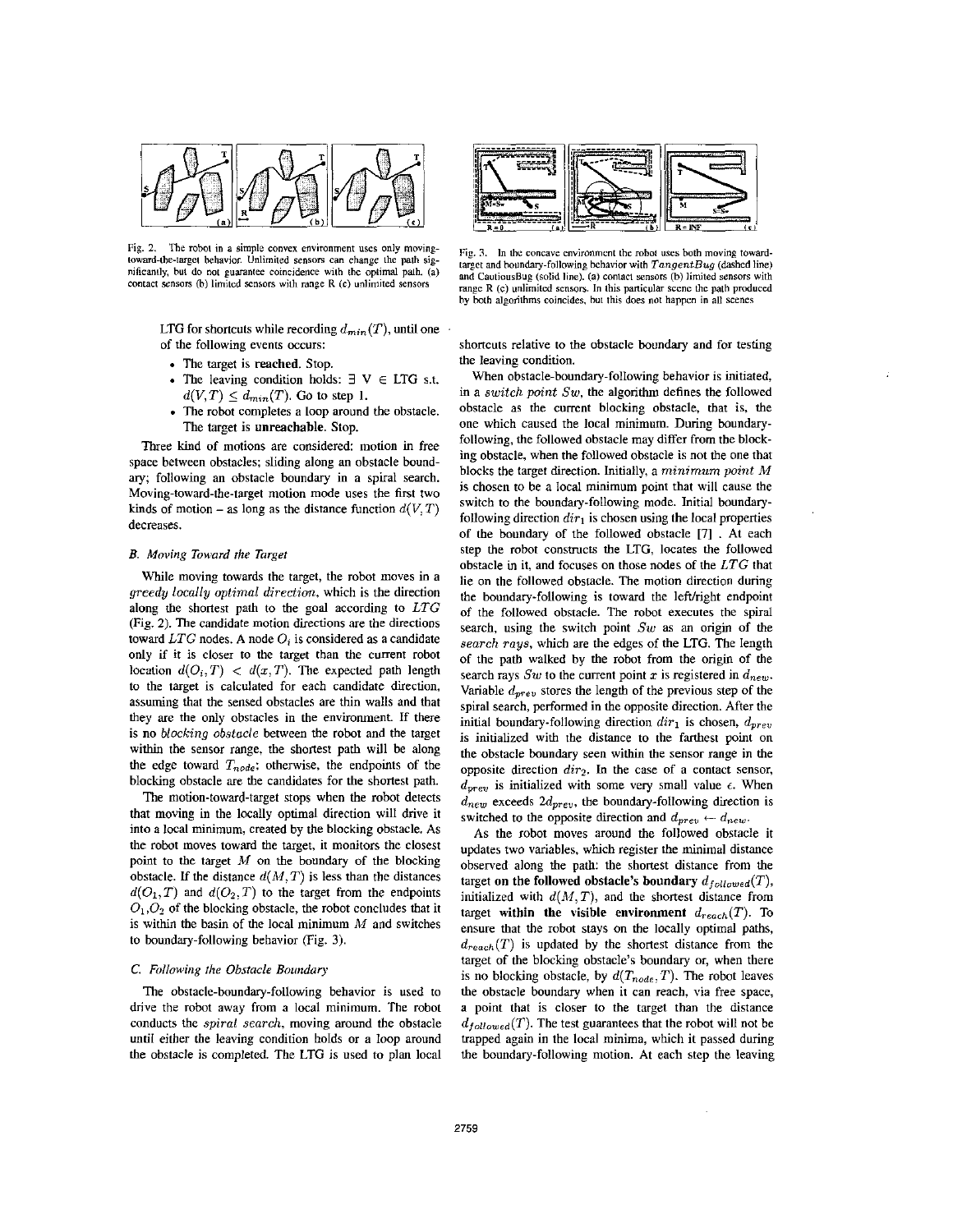

Fig. 2. The robot in a simple convex environment uses only movingtoward-the-target behavior. Unlimited sensors can change the path significantly, but do not guarantee coincidence with the optimal path. (a) contact sensors (b) limited sensors with range R (c) unlimited sensors

LTG for shortcuts while recording  $d_{min}(T)$ , until one of the following events occurs:

- The target is reached. Stop.
- The leaving condition holds:  $\exists V \in LTG$  s.t.  $d(V,T) \leq d_{min}(T)$ . Go to step 1.
- The robot completes a loop around the obstacle. The target is unreachable. Stop.

Three kind of motions are considered: motion in free space between obstacles; sliding along an obstacle boundary; following an obstacle boundary in a spiral search. Moving-toward-the-target motion mode uses the first two kinds of motion – as long as the distance function  $d(V, T)$ decreases.

#### *B. Moving Toward the Target*

While moving towards the target, the robot moves in a *greedy locally optimal direction,* which is the direction along the shortest path to the goal according to *LTG*  (Fig. 2). The candidate motion directions are the directions toward  $LTG$  nodes. A node  $O_i$  is considered as a candidate only if it is closer to the target than the current robot location  $d(O_i, T) < d(x, T)$ . The expected path length to the target is calculated for each candidate direction, assuming that the sensed obstacles are thin walls and that they are the only obstacles in the environment. If there is no *blocking obstacle* between the robot and the target within the sensor range, the shortest path will be along the edge toward  $T_{node}$ ; otherwise, the endpoints of the blocking obstacle are the candidates for the shortest path.

The motion-toward-target stops when the robot detects that moving in the locally optimal direction will drive it into a local minimum, created by the blocking obstacle. **As**  the robot moves toward the target, it monitors the closest point to the target  $M$  on the boundary of the blocking obstacle. If the distance  $d(M, T)$  is less than the distances  $d(O_1, T)$  and  $d(O_2, T)$  to the target from the endpoints  $O_1$ , $O_2$  of the blocking obstacle, the robot concludes that it is within the basin of the local minimum  $M$  and switches to boundary-following behavior (Fig. 3).

# $C.$  *Following the Obstacle Boundary*

The obstacle-boundary-following behavior is used to drive the robot away from a local minimum. The robot conducts the *spiral search,* moving around the obstacle until either the leaving condition holds or a loop around the obstacle is completed. The LTG is used to plan local



Fig. 3. In the concave environment the robot uses both moving toward**tarscl and boundary-following bchavior with** *TangentBug* **(dashed line)**  and CautiousBug (solid line). (a) contact sensors (b) limited sensors with **range R** (c) unlimited sensors. In this particular scene the path produced **hy both algoi%hm coincides, but this** does **no1 happcn in all scenes** 

shortcuts relative to the obstacle boundary and for testing the leaving condition.

When obstacle-boundary-following behavior is initiated, in a *switch point Sw,* the algorithm defines the followed obstacle a5 the current blocking obstacle, that is, the one which caused the local minimum. During boundaryfollowing, the followed obstacle may differ from the blocking obstacle, when the followed obstacle is not the one that blocks the target direction. Initially, a minimum point M is chosen to be a local minimum point that will cause the switch to the boundary-following mode. Initial boundaryfollowing direction  $dir_1$  is chosen using the local properties of the boundary of the followed obstacle [71 . At each step the robot constructs the LTG, locates the followed obstacle in it, and focuses on those nodes of the *LTG* that lie **on** the followed obstacle. The motion direction during the boundary-following is toward the left/right endpoint of the followed obstacle. The robot executes the spiral search, using the switch point *Sw* as an origin of the *search rays,* which are the edges of the LTG. The length of the path walked by the robot from the origin of the search rays *Sw* to the current point *x* is registered in  $d_{new}$ . Variable  $d_{prev}$  stores the length of the previous step of the spiral search, performed in the opposite direction. After the initial boundary-following direction  $dir_1$  is chosen,  $d_{prev}$ is initialized with the distance to the farthest point on the obstacle boundary seen within the sensor range in the opposite direction *dir2.* In the case of a contact sensor,  $d_{prev}$  is initialized with some very small value  $\epsilon$ . When  $d_{new}$  exceeds  $2d_{prev}$ , the boundary-following direction is switched to the opposite direction and  $d_{prev} \leftarrow d_{new}$ .

**As** the robot moves around the followed obstacle it updates two variables, which register the minimal distance observed along the path: the shortest distance from the target on the followed obstacle's boundary  $d_{followed}(T)$ , initialized with  $d(M, T)$ , and the shortest distance from target within the visible environment  $d_{reach}(T)$ . To ensure that the robot stays on the locally optimal paths,  $d_{reach}(T)$  is updated by the shortest distance from the target of the blocking obstacle's boundary or, when there is no blocking obstacle, by  $d(T_{node},T)$ . The robot leaves the obstacle boundary when it can reach, via free space, a point that is closer to the target than the distance  $d_{followed}(T)$ . The test guarantees that the robot will not be trapped again in the local minima, which it passed during the boundary-following motion. At each step the leaving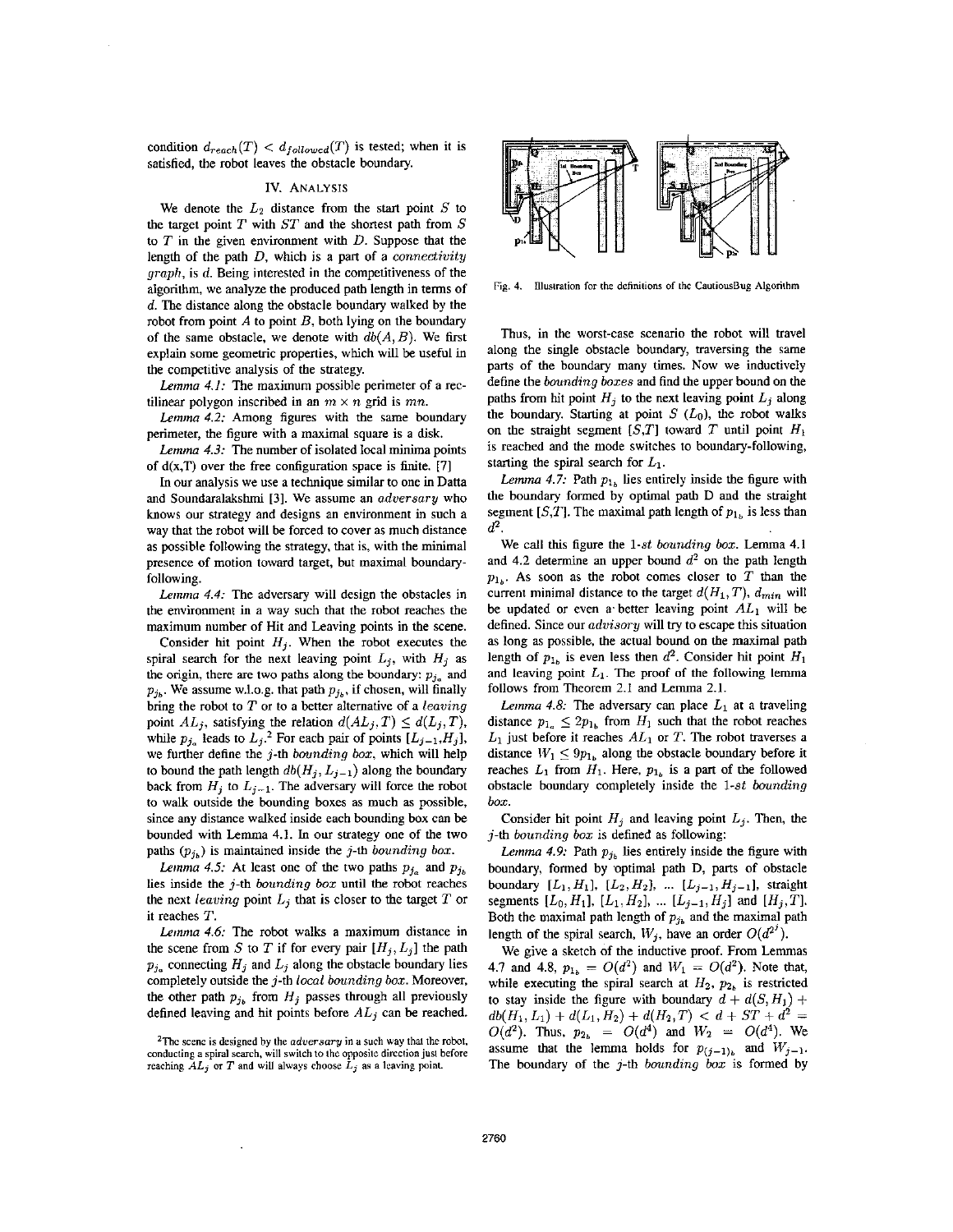condition  $d_{reach}(T) < d_{followed}(T)$  is tested; when it is satisfied, the robot leaves the obstacle boundary.

# **IV.** ANALYSIS

We denote the  $L_2$  distance from the start point  $S$  to the target point *T* with *ST* and the shortest path from *S*  to *T* in the given environment with *D.* Suppose that the length of the path *D,* which is a part of a *connectivity graph, is d. Being interested in the competitiveness of the* algorithm, we analyze the produced path length in terms of *d.* The distance along the obstacle boundary walked by the robot from point *A* to point *B,* both lying on the boundary of the same obstacle, we denote with  $db(A, B)$ . We first explain some geometric properties, which will be useful in the competitive analysis of the strategy.

*Lemma 4.1:* The maximum possible perimeter of a rectilinear polygon inscribed in an  $m \times n$  grid is  $mn$ .

*Lemrna 4.2:* Among figures with the same boundary perimeter, the figure with a maximal square is a disk.

*Lemma* 4.3: The number of isolated local minima points of  $d(x,T)$  over the free configuration space is finite. [7]

In our analysis we use a technique similar to one in Datta and Soundaralakshmi **[3].** We assume an *adversary* who knows our strategy and designs an environment in such a way that the robot will be forced to cover **ar** much distance as possible following the strategy, that is, with the minimal presence of motion toward target, but maximal boundaryfollowing.

*Lernmo 4.4:* The adversary will design the obstacles in the environment in a way such that the robot reaches the maximum number of Hit and Leaving points in the scene.

Consider hit point  $H_j$ . When the robot executes the spiral search for the next leaving point  $L_j$ , with  $H_j$  as the origin, there are two paths along the boundary:  $p_{j_a}$  and  $p_{j_b}$ . We assume w.l.o.g. that path  $p_{j_b}$ , if chosen, will finally bring the robot to *T* or to a better alternative of a *leaving*  point  $AL_j$ , satisfying the relation  $d(AL_j, T) \leq d(L_j, T)$ , while  $p_{j_a}$  leads to  $L_j^2$  For each pair of points  $[L_{j-1}, H_j]$ , we funher define the j-th *bounding box,* which will help to bound the path length  $db(H_j, L_{j-1})$  along the boundary back from  $H_j$  to  $L_{j+1}$ . The adversary will force the robot to walk outside the bounding boxes as much as possible, since any distance walked inside each bounding box can be bounded with Lemma **4.1.** In our strategy one of the two paths  $(p_{j_b})$  is maintained inside the *j*-th *bounding box*.

*Lemma 4.5:* At least one of the two paths  $p_{j_a}$  and  $p_{j_b}$ ties inside the j-th *bounding box* until the robot reaches the next *leaving* point  $L_j$  that is closer to the target  $T$  or it reaches *T.* 

*Lemma* 4.6: The robot walks a maximum distance in the scene from S to T if for every pair  $[H_i, L_i]$  the path  $p_{j_a}$  connecting  $H_j$  and  $L_j$  along the obstacle boundary lies completely outside the j-th *local bounding box*. Moreover, the other path  $p_{j_b}$  from  $H_j$  passes through all previously defined leaving and hit points before *ALj* can be reached.



Fig. 4. **Illustration for the definitions of the CautiousBug Algorithm** 

Thus, in the worst-case scenario the robot will travel along the single obstacle boundary, traversing the same parts of the boundary many times. Now we inductively define the *bounding boxes* and find the upper hound on the paths from hit point  $H_i$  to the next leaving point  $L_i$  along the boundary. Starting at point  $S(L_0)$ , the robot walks on the straight segment  $[S,T]$  toward *T* until point  $H_1$ is reached and the mode switches to boundary-following, starting the spiral search for *L1.* 

*Lemma 4.7:* Path  $p_{1<sub>k</sub>}$  lies entirely inside the figure with the boundary formed by optimal path D and the straight segment *[S,T]*. The maximal path length of  $p_{1h}$  is less than *d2.* 

We call this figure the *1-st bounding box.* Lemma **4.1**  and 4.2 determine an upper bound  $d^2$  on the path length  $p_{1k}$ . As soon as the robot comes closer to *T* than the current minimal distance to the target  $d(H_1, T)$ ,  $d_{min}$  will be updated or even a better leaving point  $AL_1$  will be defined. Since our *advisory* will **try** to escape **this** situation as long as possible, the actual bound on the maximal path length of  $p_{1h}$  is even less then  $d^2$ . Consider hit point  $H_1$ and leaving point *L1.* The proof of the following lemma follows from Theorem 2.1 and Lemma 2.1.

*Lemma 4.8:* The adversary can place  $L_1$  at a traveling distance  $p_{1a} \leq 2p_{1b}$  from  $H_1$  such that the robot reaches  $L_1$  just before it reaches  $AL_1$  or  $T$ . The robot traverses a distance  $W_1 \leq 9p_{1b}$  along the obstacle boundary before it reaches  $L_1$  from  $H_1$ . Here,  $p_{1<sub>b</sub>}$  is a part of the followed obstacle boundary completely inside the *1-st bounding box.* 

Consider hit point  $H_j$  and leaving point  $L_j$ . Then, the j-th *bounding box* is defined as following:

*Lemma 4.9:* Path  $p_{j_h}$  lies entirely inside the figure with boundary, formed by optimal path D, parts of obstacle boundary *IL1, HI], [Lz,Hzl,* ... *LLj-1, Hj-I],* straight segments  $[L_0, H_1]$ ,  $[L_1, H_2]$ , ...  $[L_{j-1}, H_j]$  and  $[H_j, T]$ . Both the maximal path length of *pj,* and the maximal path length of the spiral search,  $W_j$ , have an order  $O(d^{2^j})$ .

We give a sketch of the inductive proof. From Lemmas 4.7 and 4.8,  $p_{1b} = O(d^2)$  and  $W_1 = O(d^2)$ . Note that, while executing the spiral search at  $H_2$ ,  $p_{2b}$  is restricted to stay inside the figure with boundary  $d + d(S, H_1) +$  $db(H_1, L_1)+d(L_1, H_2)+d(H_2, T) < d+ST+d^2 =$  $O(d^2)$ . Thus,  $p_{2_b} = O(d^4)$  and  $W_2 = O(d^4)$ . We assume that the lemma holds for  $p_{(j-1)_b}$  and  $W_{j-1}$ . The boundary of the  $j$ -th *bounding box* is formed by

<sup>&</sup>lt;sup>2</sup>The scene is designed by the *adversary* in a such way that the robot, **conducting a spiral search. will switch to the opposilc direction** just **before**  reaching  $AL_j$  or  $T$  and will always choose  $L_j$  as a leaving point.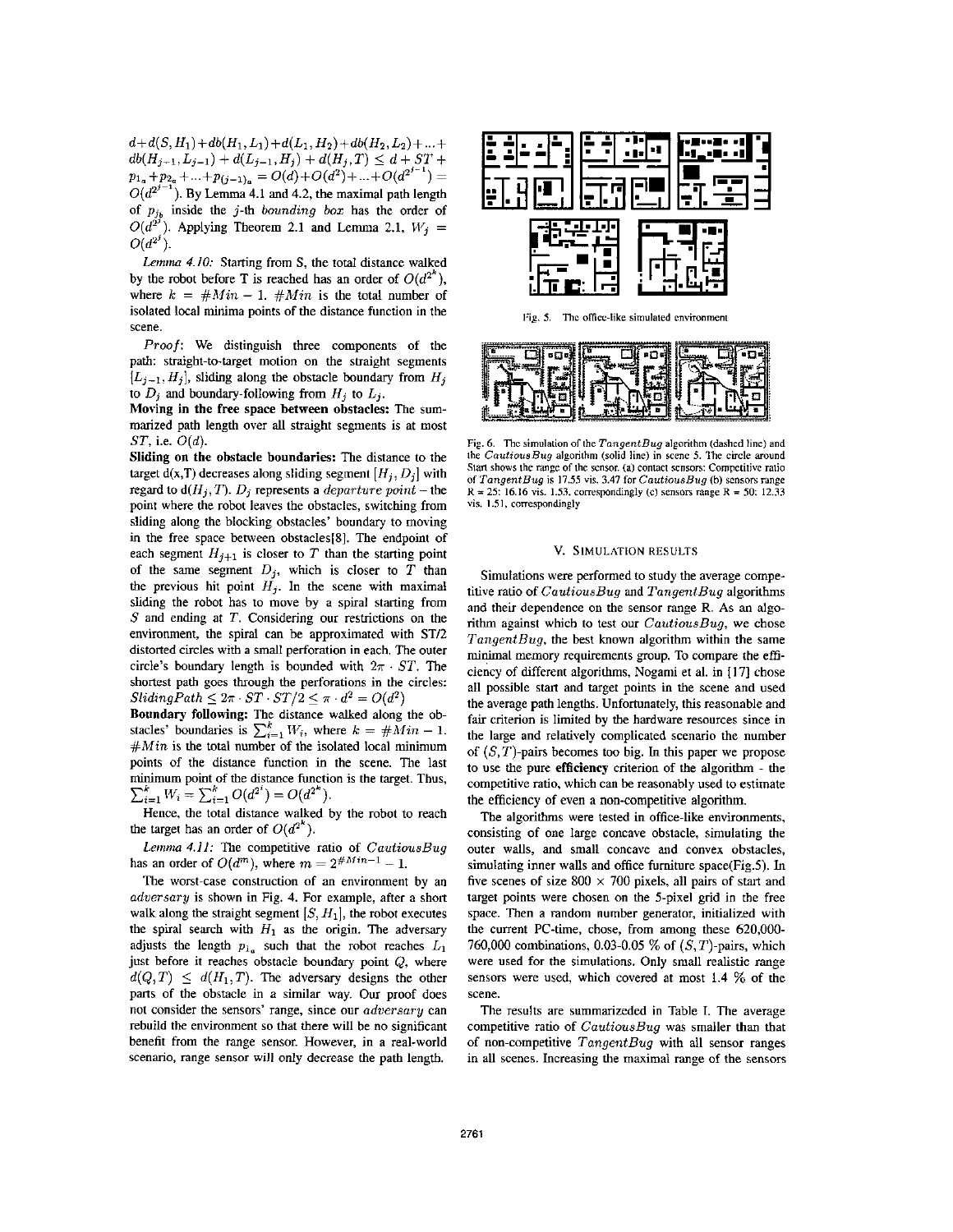$d+d(S, H_1)+db(H_1, L_1)+d(L_1, H_2)+db(H_2, L_2)+...+$  $db(H_{j-1}, L_{j-1}) + d(L_{j-1}, H_j) + d(H_j, T) \leq d + ST +$  $p_{1a} + p_{2a} + ... + p_{(j-1)a} = O(d) + O(d^2) + ... + O(d^{2^{j-1}}) =$  $O(d^{2^{j-1}})$ . By Lemma 4.1 and 4.2, the maximal path length of  $p_{j_b}$  inside the j-th *bounding box* has the order of  $O(d^{2^s})$ . Applying Theorem 2.1 and Lemma 2.1,  $W_i =$ <sup>*i*</sup>). Applying Theorem 2.1 and Lemma 2.1,  $W_i =$  $O(d^{2^{j}}).$ 

*Lemma 4.10:* Starting from S, the total distance walked by the robot before T is reached has an order of  $O(d^{2^k})$ , where  $k = #Min - 1$ .  $#Min$  is the total number of isolated local minima points of the distance function in the *Fig. 5.* The office-like simulated environment scene.

*Proof:* We distinguish three components of the path: straight-to-target motion **on** the straight segments  $[L_{i-1}, H_i]$ , sliding along the obstacle boundary from  $H_i$ to  $D_i$  and boundary-following from  $H_i$  to  $L_i$ .

Moving in the free space between obstacles: The summarized path length over all straight segments is at most  $ST$ , i.e.  $O(d)$ .

Sliding on the obstacle boundaries: The distance to the target  $d(x,T)$  decreases along sliding segment  $[H_i, D_i]$  with regard to  $d(H_i, T)$ .  $D_i$  represents a *departure point* – the point where the robot leaves the obstacles, switchine from sliding along the blocking obstacles' boundary to moving in the free space between obstacles[S]. The endpoint of each segment  $H_{j+1}$  is closer to T than the starting point **V.** SIMULATION RESULTS of the same segment  $D_j$ , which is closer to T than Simulations were performed to study the average compe-

minimum point of the distance function is the target. Thus,  $\sum_{i=1}^{k} W_i = \sum_{i=1}^{k} O(d^{2^i}) = O(d^{2^k}).$ 

Hence, the total distance walked by the robot to reach the target has an order of  $O(d^{2^k})$ .

*Lemma 4.11:* The competitive ratio of CautiousBug has an order of  $O(d^m)$ , where  $m = 2^{\# Min-1} - 1$ .

The worst-case construction of an environment by an adversary is shown in Fig. 4. For example, after a short walk along the straight segment  $[S, H_1]$ , the robot executes the spiral search with  $H_1$  as the origin. The adversary adjusts the length  $p_{1a}$  such that the robot reaches  $L_1$ just before it reaches obstacle boundary point Q, where  $d(Q, T) \leq d(H_1, T)$ . The adversary designs the other parts of the obstacle in a similar way. Our proof does not consider the sensors' range, since our *oduersary* can rebuild the environment so that there will be no significant benefit from the range sensor. However, in a real-world scenario, range sensor will only decrease the path length.



 $Fig. 6$ . The simulation of the  $TangentBug$  algorithm (dashed line) and  $\alpha$  *Cautious Bug* **algorithm** (solid line) in scene 5. The circle around **Start shows the range of the sensor. (a) contact sensors: Competitive ratio** of *TangentBug* **is 17.55 vis. 3.41** for *CautiousBug* (b) **senson ranee**   $\vec{r}$  – the  $\vec{R} = 25$ : **16.16** vis. **1.53**, correspondingly (c) sensors range  $\vec{R} = 50$ : **12.33** vis. **1.51**, correspondingly

the previous hit point  $H_j$ . In the scene with maximal titive ratio of Cautious Bug and Tangent Bug algorithms<br>sliding the robot has to move by a spiral starting from and their dependence on the sensor page B. As on algo siliang the robot has to move by a spiral starting from and their dependence on the sensor range R. As an algo-<br>S and ending at T. Considering our restrictions on the rithm against which to test our *Cautious Bug*, we cho environment, the spiral can be approximated with ST/2  $T_{angent}Bug$ , the best known algorithm within the same<br>distorted circles with a small perforation in each. The outer<br>minimal mannery requirements group To commate the eff distorted circles with a small perforation in each. The outer minimal memory requirements group, To compare the effi-<br>circle's boundary length is bounded with  $2\pi \cdot ST$ . The signal of different algorithms. Negative it al. circle s boundary length is bounded with  $2\pi \cdot 51$ . The ciency of different algorithms, Nogami et al. in [17] chose shortest path goes through the perforations in the circles: all perceptions and terms in the coope and u shortest path goes through the perforations in the circles: all possible start and target points in the scene and used<br>SlidingPath  $\leq 2\pi \cdot ST \cdot ST/2 \leq \pi \cdot d^2 = O(d^2)$  the average path lengths. Unfortunately this reasonable the average path lengths. Unfortunately, this reasonable and **Boundary following:** The distance walked along the ob-<br>stacles' boundaries is  $\sum_{i=1}^{k} W_i$ , where  $k = \# Min - 1$ .<br>the large and relatively complicated scenario the number stacies boundaries is  $\sum_{i=1}^{n} w_i$ , where  $k = \#Min - 1$ .<br>
the large and relatively complicated scenario the number  $\#Min$  is the total number of the side pure of  $(S,T)$ -pairs becomes too big. In this paper we propose points of  $(S, T)$ -pairs becomes too big. In this paper we propose to use the pure efficiency criterion of the algorithm - the competitive ratio, which can be reasonably used to the efficiency of even a non-competitive algorithm.

> The algorithms were tested in office-like environments, consisting of one large concave obstacle, simulating the outer walls, and small concave and convex obstacles, simulating inner walls and office furniture space(Fig.5). In five scenes of size  $800 \times 700$  pixels, all pairs of start and target points were chosen on the 5-pixel grid in the free space. Then a random number generator, initialized with the current PC-time, chose, from among these 620,000- 760,000 combinations, 0.03-0.05 % of  $(S, T)$ -pairs, which were used for the simulations. Only small realistic range sensors were used, which covered at most 1.4 % of the scene.

> The results are summarizeded in Table I. The average competitive ratio of  $CautiousBug$  was smaller than that of non-competitive  $Tangent Bug$  with all sensor ranges in all scenes. Increasing the maximal range of the sensors